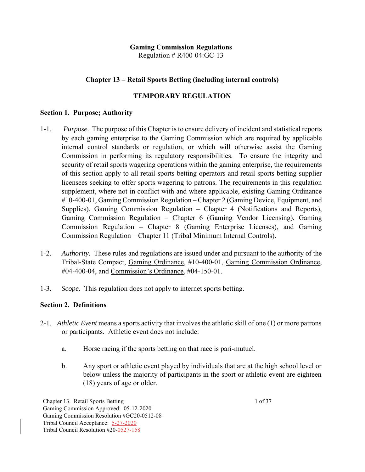## **Gaming Commission Regulations**

Regulation  $# R400-04$ : GC-13

## **Chapter 13 – Retail Sports Betting (including internal controls)**

#### **TEMPORARY REGULATION**

#### **Section 1. Purpose; Authority**

- 1-1. *Purpose*. The purpose of this Chapter is to ensure delivery of incident and statistical reports by each gaming enterprise to the Gaming Commission which are required by applicable internal control standards or regulation, or which will otherwise assist the Gaming Commission in performing its regulatory responsibilities. To ensure the integrity and security of retail sports wagering operations within the gaming enterprise, the requirements of this section apply to all retail sports betting operators and retail sports betting supplier licensees seeking to offer sports wagering to patrons. The requirements in this regulation supplement, where not in conflict with and where applicable, existing Gaming Ordinance #10-400-01, Gaming Commission Regulation – Chapter 2 (Gaming Device, Equipment, and Supplies), Gaming Commission Regulation – Chapter 4 (Notifications and Reports), Gaming Commission Regulation – Chapter 6 (Gaming Vendor Licensing), Gaming Commission Regulation – Chapter 8 (Gaming Enterprise Licenses), and Gaming Commission Regulation – Chapter 11 (Tribal Minimum Internal Controls).
- 1-2. *Authority.* These rules and regulations are issued under and pursuant to the authority of the Tribal-State Compact, Gaming Ordinance, #10-400-01, Gaming Commission Ordinance, #04-400-04, and Commission's Ordinance, #04-150-01.
- 1-3. *Scope.* This regulation does not apply to internet sports betting.

#### **Section 2. Definitions**

- 2-1. *Athletic Event* means a sports activity that involves the athletic skill of one (1) or more patrons or participants. Athletic event does not include:
	- a. Horse racing if the sports betting on that race is pari-mutuel.
	- b. Any sport or athletic event played by individuals that are at the high school level or below unless the majority of participants in the sport or athletic event are eighteen (18) years of age or older.

Chapter 13. Retail Sports Betting 1 of 37 Gaming Commission Approved: 05-12-2020 Gaming Commission Resolution #GC20-0512-08 Tribal Council Acceptance: 5-27-2020 Tribal Council Resolution #20-0527-158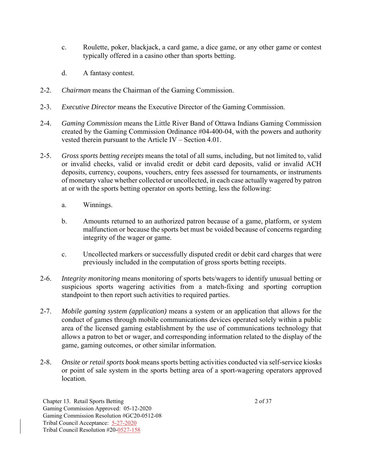- c. Roulette, poker, blackjack, a card game, a dice game, or any other game or contest typically offered in a casino other than sports betting.
- d. A fantasy contest.
- 2-2. *Chairman* means the Chairman of the Gaming Commission.
- 2-3. *Executive Director* means the Executive Director of the Gaming Commission.
- 2-4. *Gaming Commission* means the Little River Band of Ottawa Indians Gaming Commission created by the Gaming Commission Ordinance #04-400-04, with the powers and authority vested therein pursuant to the Article IV – Section 4.01.
- 2-5. *Gross sports betting receipts* means the total of all sums, including, but not limited to, valid or invalid checks, valid or invalid credit or debit card deposits, valid or invalid ACH deposits, currency, coupons, vouchers, entry fees assessed for tournaments, or instruments of monetary value whether collected or uncollected, in each case actually wagered by patron at or with the sports betting operator on sports betting, less the following:
	- a. Winnings.
	- b. Amounts returned to an authorized patron because of a game, platform, or system malfunction or because the sports bet must be voided because of concerns regarding integrity of the wager or game.
	- c. Uncollected markers or successfully disputed credit or debit card charges that were previously included in the computation of gross sports betting receipts.
- 2-6. *Integrity monitoring* means monitoring of sports bets/wagers to identify unusual betting or suspicious sports wagering activities from a match-fixing and sporting corruption standpoint to then report such activities to required parties.
- 2-7. *Mobile gaming system (application)* means a system or an application that allows for the conduct of games through mobile communications devices operated solely within a public area of the licensed gaming establishment by the use of communications technology that allows a patron to bet or wager, and corresponding information related to the display of the game, gaming outcomes, or other similar information.
- 2-8. *Onsite or retail sports book* means sports betting activities conducted via self-service kiosks or point of sale system in the sports betting area of a sport-wagering operators approved location.

Chapter 13. Retail Sports Betting 2 of 37 Gaming Commission Approved: 05-12-2020 Gaming Commission Resolution #GC20-0512-08 Tribal Council Acceptance: 5-27-2020 Tribal Council Resolution #20-0527-158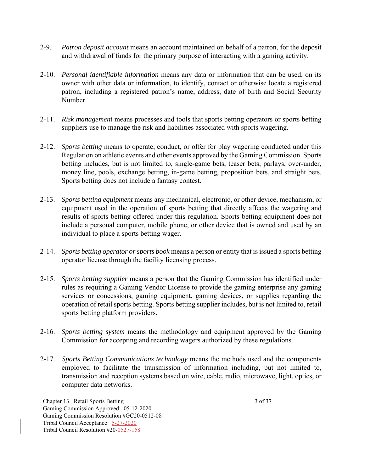- 2-9. *Patron deposit account* means an account maintained on behalf of a patron, for the deposit and withdrawal of funds for the primary purpose of interacting with a gaming activity.
- 2-10. *Personal identifiable information* means any data or information that can be used, on its owner with other data or information, to identify, contact or otherwise locate a registered patron, including a registered patron's name, address, date of birth and Social Security Number.
- 2-11. *Risk managemen*t means processes and tools that sports betting operators or sports betting suppliers use to manage the risk and liabilities associated with sports wagering.
- 2-12. *Sports betting* means to operate, conduct, or offer for play wagering conducted under this Regulation on athletic events and other events approved by the Gaming Commission. Sports betting includes, but is not limited to, single-game bets, teaser bets, parlays, over-under, money line, pools, exchange betting, in-game betting, proposition bets, and straight bets. Sports betting does not include a fantasy contest.
- 2-13. *Sports betting equipment* means any mechanical, electronic, or other device, mechanism, or equipment used in the operation of sports betting that directly affects the wagering and results of sports betting offered under this regulation. Sports betting equipment does not include a personal computer, mobile phone, or other device that is owned and used by an individual to place a sports betting wager.
- 2-14. *Sports betting operator or sports book* means a person or entity that is issued a sports betting operator license through the facility licensing process.
- 2-15. *Sports betting supplier* means a person that the Gaming Commission has identified under rules as requiring a Gaming Vendor License to provide the gaming enterprise any gaming services or concessions, gaming equipment, gaming devices, or supplies regarding the operation of retail sports betting. Sports betting supplier includes, but is not limited to, retail sports betting platform providers.
- 2-16. *Sports betting system* means the methodology and equipment approved by the Gaming Commission for accepting and recording wagers authorized by these regulations.
- 2-17. *Sports Betting Communications technology* means the methods used and the components employed to facilitate the transmission of information including, but not limited to, transmission and reception systems based on wire, cable, radio, microwave, light, optics, or computer data networks.

Chapter 13. Retail Sports Betting 3 of 37 Gaming Commission Approved: 05-12-2020 Gaming Commission Resolution #GC20-0512-08 Tribal Council Acceptance: 5-27-2020 Tribal Council Resolution #20-0527-158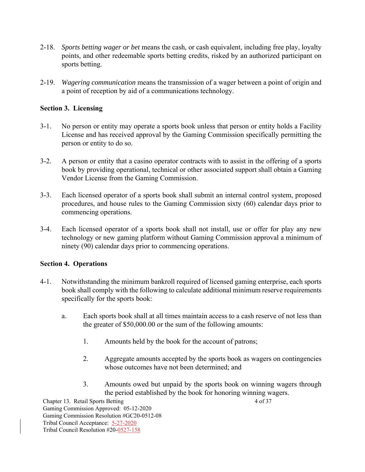- 2-18. *Sports betting wager or bet* means the cash, or cash equivalent, including free play, loyalty points, and other redeemable sports betting credits, risked by an authorized participant on sports betting.
- 2-19. *Wagering communication* means the transmission of a wager between a point of origin and a point of reception by aid of a communications technology.

# **Section 3. Licensing**

- 3-1. No person or entity may operate a sports book unless that person or entity holds a Facility License and has received approval by the Gaming Commission specifically permitting the person or entity to do so.
- 3-2. A person or entity that a casino operator contracts with to assist in the offering of a sports book by providing operational, technical or other associated support shall obtain a Gaming Vendor License from the Gaming Commission.
- 3-3. Each licensed operator of a sports book shall submit an internal control system, proposed procedures, and house rules to the Gaming Commission sixty (60) calendar days prior to commencing operations.
- 3-4. Each licensed operator of a sports book shall not install, use or offer for play any new technology or new gaming platform without Gaming Commission approval a minimum of ninety (90) calendar days prior to commencing operations.

### **Section 4. Operations**

- 4-1. Notwithstanding the minimum bankroll required of licensed gaming enterprise, each sports book shall comply with the following to calculate additional minimum reserve requirements specifically for the sports book:
	- a. Each sports book shall at all times maintain access to a cash reserve of not less than the greater of \$50,000.00 or the sum of the following amounts:
		- 1. Amounts held by the book for the account of patrons;
		- 2. Aggregate amounts accepted by the sports book as wagers on contingencies whose outcomes have not been determined; and
		- 3. Amounts owed but unpaid by the sports book on winning wagers through the period established by the book for honoring winning wagers.

Chapter 13. Retail Sports Betting 4 of 37 Gaming Commission Approved: 05-12-2020 Gaming Commission Resolution #GC20-0512-08 Tribal Council Acceptance: 5-27-2020 Tribal Council Resolution #20-0527-158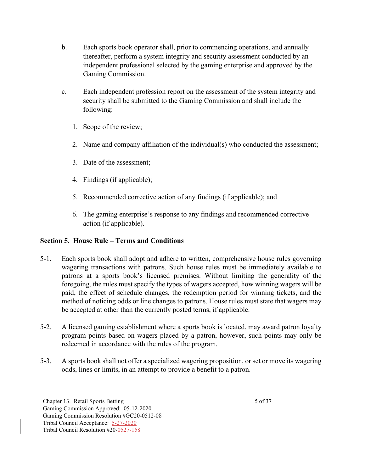- b. Each sports book operator shall, prior to commencing operations, and annually thereafter, perform a system integrity and security assessment conducted by an independent professional selected by the gaming enterprise and approved by the Gaming Commission.
- c. Each independent profession report on the assessment of the system integrity and security shall be submitted to the Gaming Commission and shall include the following:
	- 1. Scope of the review;
	- 2. Name and company affiliation of the individual(s) who conducted the assessment;
	- 3. Date of the assessment;
	- 4. Findings (if applicable);
	- 5. Recommended corrective action of any findings (if applicable); and
	- 6. The gaming enterprise's response to any findings and recommended corrective action (if applicable).

### **Section 5.****House Rule – Terms and Conditions**

- 5-1. Each sports book shall adopt and adhere to written, comprehensive house rules governing wagering transactions with patrons. Such house rules must be immediately available to patrons at a sports book's licensed premises. Without limiting the generality of the foregoing, the rules must specify the types of wagers accepted, how winning wagers will be paid, the effect of schedule changes, the redemption period for winning tickets, and the method of noticing odds or line changes to patrons. House rules must state that wagers may be accepted at other than the currently posted terms, if applicable.
- 5-2. A licensed gaming establishment where a sports book is located, may award patron loyalty program points based on wagers placed by a patron, however, such points may only be redeemed in accordance with the rules of the program.
- 5-3. A sports book shall not offer a specialized wagering proposition, or set or move its wagering odds, lines or limits, in an attempt to provide a benefit to a patron.

Chapter 13. Retail Sports Betting 5 of 37 Gaming Commission Approved: 05-12-2020 Gaming Commission Resolution #GC20-0512-08 Tribal Council Acceptance: 5-27-2020 Tribal Council Resolution #20-0527-158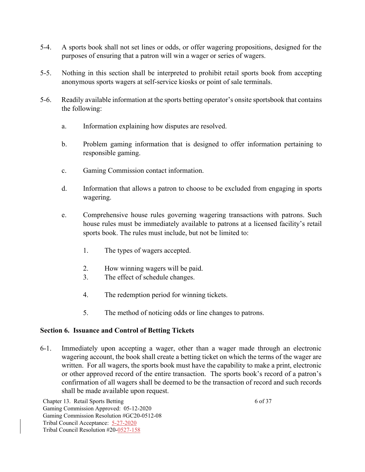- 5-4. A sports book shall not set lines or odds, or offer wagering propositions, designed for the purposes of ensuring that a patron will win a wager or series of wagers.
- 5-5. Nothing in this section shall be interpreted to prohibit retail sports book from accepting anonymous sports wagers at self-service kiosks or point of sale terminals.
- 5-6. Readily available information at the sports betting operator's onsite sportsbook that contains the following:
	- a. Information explaining how disputes are resolved.
	- b. Problem gaming information that is designed to offer information pertaining to responsible gaming.
	- c. Gaming Commission contact information.
	- d. Information that allows a patron to choose to be excluded from engaging in sports wagering.
	- e. Comprehensive house rules governing wagering transactions with patrons. Such house rules must be immediately available to patrons at a licensed facility's retail sports book. The rules must include, but not be limited to:
		- 1. The types of wagers accepted.
		- 2. How winning wagers will be paid.
		- 3. The effect of schedule changes.
		- 4. The redemption period for winning tickets.
		- 5. The method of noticing odds or line changes to patrons.

### **Section 6. Issuance and Control of Betting Tickets**

6-1. Immediately upon accepting a wager, other than a wager made through an electronic wagering account, the book shall create a betting ticket on which the terms of the wager are written. For all wagers, the sports book must have the capability to make a print, electronic or other approved record of the entire transaction. The sports book's record of a patron's confirmation of all wagers shall be deemed to be the transaction of record and such records shall be made available upon request.

Chapter 13. Retail Sports Betting 6 of 37 Gaming Commission Approved: 05-12-2020 Gaming Commission Resolution #GC20-0512-08 Tribal Council Acceptance: 5-27-2020 Tribal Council Resolution #20-0527-158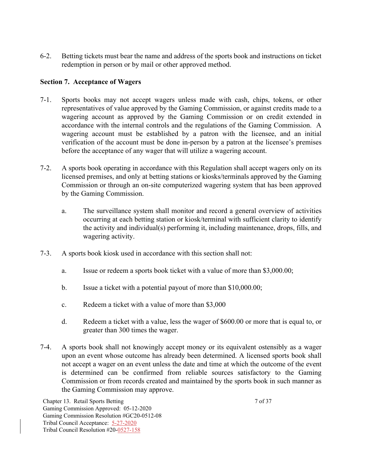6-2. Betting tickets must bear the name and address of the sports book and instructions on ticket redemption in person or by mail or other approved method.

#### **Section 7. Acceptance of Wagers**

- 7-1. Sports books may not accept wagers unless made with cash, chips, tokens, or other representatives of value approved by the Gaming Commission, or against credits made to a wagering account as approved by the Gaming Commission or on credit extended in accordance with the internal controls and the regulations of the Gaming Commission. A wagering account must be established by a patron with the licensee, and an initial verification of the account must be done in-person by a patron at the licensee's premises before the acceptance of any wager that will utilize a wagering account.
- 7-2. A sports book operating in accordance with this Regulation shall accept wagers only on its licensed premises, and only at betting stations or kiosks/terminals approved by the Gaming Commission or through an on-site computerized wagering system that has been approved by the Gaming Commission.
	- a. The surveillance system shall monitor and record a general overview of activities occurring at each betting station or kiosk/terminal with sufficient clarity to identify the activity and individual(s) performing it, including maintenance, drops, fills, and wagering activity.
- 7-3. A sports book kiosk used in accordance with this section shall not:
	- a. Issue or redeem a sports book ticket with a value of more than \$3,000.00;
	- b. Issue a ticket with a potential payout of more than \$10,000.00;
	- c. Redeem a ticket with a value of more than \$3,000
	- d. Redeem a ticket with a value, less the wager of \$600.00 or more that is equal to, or greater than 300 times the wager.
- 7-4. A sports book shall not knowingly accept money or its equivalent ostensibly as a wager upon an event whose outcome has already been determined. A licensed sports book shall not accept a wager on an event unless the date and time at which the outcome of the event is determined can be confirmed from reliable sources satisfactory to the Gaming Commission or from records created and maintained by the sports book in such manner as the Gaming Commission may approve.

Chapter 13. Retail Sports Betting 7 of 37 Gaming Commission Approved: 05-12-2020 Gaming Commission Resolution #GC20-0512-08 Tribal Council Acceptance: 5-27-2020 Tribal Council Resolution #20-0527-158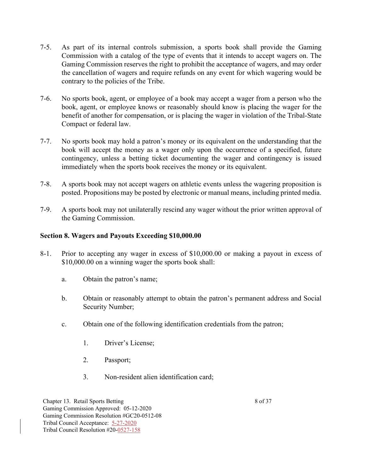- 7-5. As part of its internal controls submission, a sports book shall provide the Gaming Commission with a catalog of the type of events that it intends to accept wagers on. The Gaming Commission reserves the right to prohibit the acceptance of wagers, and may order the cancellation of wagers and require refunds on any event for which wagering would be contrary to the policies of the Tribe.
- 7-6. No sports book, agent, or employee of a book may accept a wager from a person who the book, agent, or employee knows or reasonably should know is placing the wager for the benefit of another for compensation, or is placing the wager in violation of the Tribal-State Compact or federal law.
- 7-7. No sports book may hold a patron's money or its equivalent on the understanding that the book will accept the money as a wager only upon the occurrence of a specified, future contingency, unless a betting ticket documenting the wager and contingency is issued immediately when the sports book receives the money or its equivalent.
- 7-8. A sports book may not accept wagers on athletic events unless the wagering proposition is posted. Propositions may be posted by electronic or manual means, including printed media.
- 7-9. A sports book may not unilaterally rescind any wager without the prior written approval of the Gaming Commission.

#### **Section 8. Wagers and Payouts Exceeding \$10,000.00**

- 8-1. Prior to accepting any wager in excess of \$10,000.00 or making a payout in excess of \$10,000.00 on a winning wager the sports book shall:
	- a. Obtain the patron's name;
	- b. Obtain or reasonably attempt to obtain the patron's permanent address and Social Security Number;
	- c. Obtain one of the following identification credentials from the patron;
		- 1. Driver's License;
		- 2. Passport;
		- 3. Non-resident alien identification card;

Chapter 13. Retail Sports Betting 8 of 37 Gaming Commission Approved: 05-12-2020 Gaming Commission Resolution #GC20-0512-08 Tribal Council Acceptance: 5-27-2020 Tribal Council Resolution #20-0527-158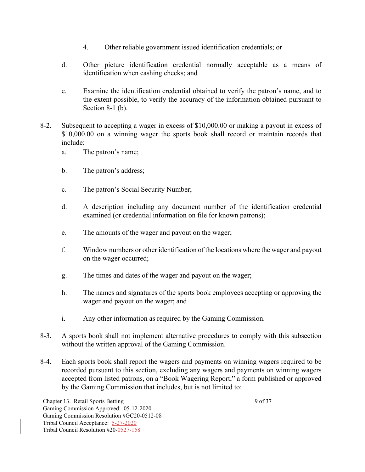- 4. Other reliable government issued identification credentials; or
- d. Other picture identification credential normally acceptable as a means of identification when cashing checks; and
- e. Examine the identification credential obtained to verify the patron's name, and to the extent possible, to verify the accuracy of the information obtained pursuant to Section 8-1 (b).
- 8-2. Subsequent to accepting a wager in excess of \$10,000.00 or making a payout in excess of \$10,000.00 on a winning wager the sports book shall record or maintain records that include:
	- a. The patron's name;
	- b. The patron's address;
	- c. The patron's Social Security Number;
	- d. A description including any document number of the identification credential examined (or credential information on file for known patrons);
	- e. The amounts of the wager and payout on the wager;
	- f. Window numbers or other identification of the locations where the wager and payout on the wager occurred;
	- g. The times and dates of the wager and payout on the wager;
	- h. The names and signatures of the sports book employees accepting or approving the wager and payout on the wager; and
	- i. Any other information as required by the Gaming Commission.
- 8-3. A sports book shall not implement alternative procedures to comply with this subsection without the written approval of the Gaming Commission.
- 8-4. Each sports book shall report the wagers and payments on winning wagers required to be recorded pursuant to this section, excluding any wagers and payments on winning wagers accepted from listed patrons, on a "Book Wagering Report," a form published or approved by the Gaming Commission that includes, but is not limited to:

Chapter 13. Retail Sports Betting 9 of 37 Gaming Commission Approved: 05-12-2020 Gaming Commission Resolution #GC20-0512-08 Tribal Council Acceptance: 5-27-2020 Tribal Council Resolution #20-0527-158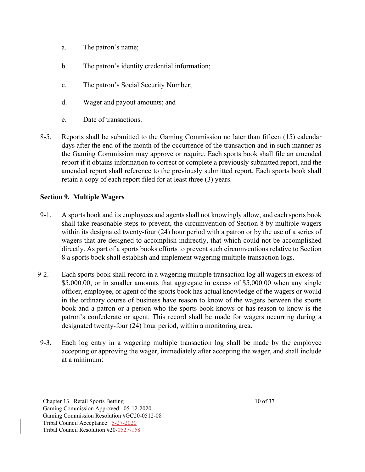- a. The patron's name;
- b. The patron's identity credential information;
- c. The patron's Social Security Number;
- d. Wager and payout amounts; and
- e. Date of transactions.
- 8-5. Reports shall be submitted to the Gaming Commission no later than fifteen (15) calendar days after the end of the month of the occurrence of the transaction and in such manner as the Gaming Commission may approve or require. Each sports book shall file an amended report if it obtains information to correct or complete a previously submitted report, and the amended report shall reference to the previously submitted report. Each sports book shall retain a copy of each report filed for at least three (3) years.

### **Section 9. Multiple Wagers**

- 9-1. A sports book and its employees and agents shall not knowingly allow, and each sports book shall take reasonable steps to prevent, the circumvention of Section 8 by multiple wagers within its designated twenty-four (24) hour period with a patron or by the use of a series of wagers that are designed to accomplish indirectly, that which could not be accomplished directly. As part of a sports books efforts to prevent such circumventions relative to Section 8 a sports book shall establish and implement wagering multiple transaction logs.
- 9-2. Each sports book shall record in a wagering multiple transaction log all wagers in excess of \$5,000.00, or in smaller amounts that aggregate in excess of \$5,000.00 when any single officer, employee, or agent of the sports book has actual knowledge of the wagers or would in the ordinary course of business have reason to know of the wagers between the sports book and a patron or a person who the sports book knows or has reason to know is the patron's confederate or agent. This record shall be made for wagers occurring during a designated twenty-four (24) hour period, within a monitoring area.
- 9-3. Each log entry in a wagering multiple transaction log shall be made by the employee accepting or approving the wager, immediately after accepting the wager, and shall include at a minimum:

Chapter 13. Retail Sports Betting 10 of 37 Gaming Commission Approved: 05-12-2020 Gaming Commission Resolution #GC20-0512-08 Tribal Council Acceptance: 5-27-2020 Tribal Council Resolution #20-0527-158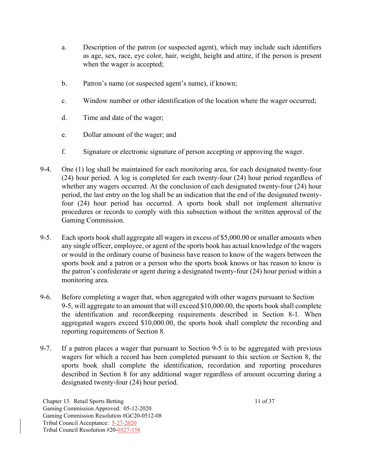- a. Description of the patron (or suspected agent), which may include such identifiers as age, sex, race, eye color, hair, weight, height and attire, if the person is present when the wager is accepted;
- b. Patron's name (or suspected agent's name), if known;
- c. Window number or other identification of the location where the wager occurred;
- d. Time and date of the wager;
- e. Dollar amount of the wager; and
- f. Signature or electronic signature of person accepting or approving the wager.
- 9-4. One (1) log shall be maintained for each monitoring area, for each designated twenty-four (24) hour period. A log is completed for each twenty-four (24) hour period regardless of whether any wagers occurred. At the conclusion of each designated twenty-four (24) hour period, the last entry on the log shall be an indication that the end of the designated twentyfour (24) hour period has occurred. A sports book shall not implement alternative procedures or records to comply with this subsection without the written approval of the Gaming Commission.
- 9-5. Each sports book shall aggregate all wagers in excess of \$5,000.00 or smaller amounts when any single officer, employee, or agent of the sports book has actual knowledge of the wagers or would in the ordinary course of business have reason to know of the wagers between the sports book and a patron or a person who the sports book knows or has reason to know is the patron's confederate or agent during a designated twenty-four (24) hour period within a monitoring area.
- 9-6. Before completing a wager that, when aggregated with other wagers pursuant to Section 9-5, will aggregate to an amount that will exceed \$10,000.00, the sports book shall complete the identification and recordkeeping requirements described in Section 8-1. When aggregated wagers exceed \$10,000.00, the sports book shall complete the recording and reporting requirements of Section 8.
- 9-7. If a patron places a wager that pursuant to Section 9-5 is to be aggregated with previous wagers for which a record has been completed pursuant to this section or Section 8, the sports book shall complete the identification, recordation and reporting procedures described in Section 8 for any additional wager regardless of amount occurring during a designated twenty-four (24) hour period.

Chapter 13. Retail Sports Betting 11 of 37 Gaming Commission Approved: 05-12-2020 Gaming Commission Resolution #GC20-0512-08 Tribal Council Acceptance: 5-27-2020 Tribal Council Resolution #20-0527-158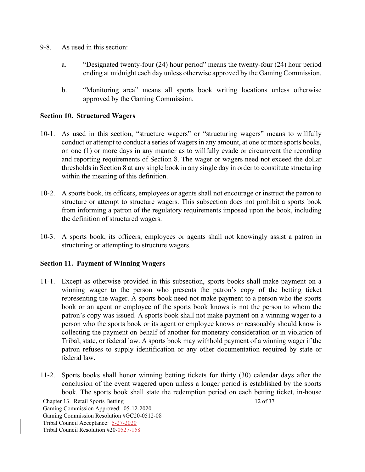- 9-8. As used in this section:
	- a. "Designated twenty-four (24) hour period" means the twenty-four (24) hour period ending at midnight each day unless otherwise approved by the Gaming Commission.
	- b. "Monitoring area" means all sports book writing locations unless otherwise approved by the Gaming Commission.

#### **Section 10. Structured Wagers**

- 10-1. As used in this section, "structure wagers" or "structuring wagers" means to willfully conduct or attempt to conduct a series of wagers in any amount, at one or more sports books, on one (1) or more days in any manner as to willfully evade or circumvent the recording and reporting requirements of Section 8. The wager or wagers need not exceed the dollar thresholds in Section 8 at any single book in any single day in order to constitute structuring within the meaning of this definition.
- 10-2. A sports book, its officers, employees or agents shall not encourage or instruct the patron to structure or attempt to structure wagers. This subsection does not prohibit a sports book from informing a patron of the regulatory requirements imposed upon the book, including the definition of structured wagers.
- 10-3. A sports book, its officers, employees or agents shall not knowingly assist a patron in structuring or attempting to structure wagers.

#### **Section 11. Payment of Winning Wagers**

- 11-1. Except as otherwise provided in this subsection, sports books shall make payment on a winning wager to the person who presents the patron's copy of the betting ticket representing the wager. A sports book need not make payment to a person who the sports book or an agent or employee of the sports book knows is not the person to whom the patron's copy was issued. A sports book shall not make payment on a winning wager to a person who the sports book or its agent or employee knows or reasonably should know is collecting the payment on behalf of another for monetary consideration or in violation of Tribal, state, or federal law. A sports book may withhold payment of a winning wager if the patron refuses to supply identification or any other documentation required by state or federal law.
- 11-2. Sports books shall honor winning betting tickets for thirty (30) calendar days after the conclusion of the event wagered upon unless a longer period is established by the sports book. The sports book shall state the redemption period on each betting ticket, in-house

Chapter 13. Retail Sports Betting 12 of 37 Gaming Commission Approved: 05-12-2020 Gaming Commission Resolution #GC20-0512-08 Tribal Council Acceptance: 5-27-2020 Tribal Council Resolution #20-0527-158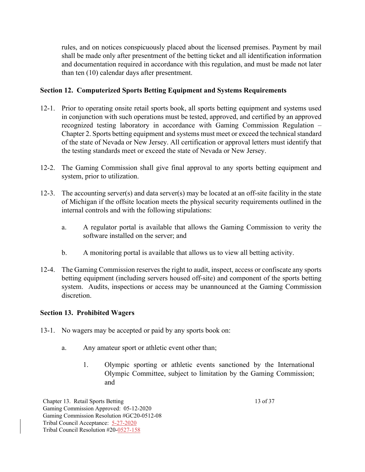rules, and on notices conspicuously placed about the licensed premises. Payment by mail shall be made only after presentment of the betting ticket and all identification information and documentation required in accordance with this regulation, and must be made not later than ten (10) calendar days after presentment.

## **Section 12. Computerized Sports Betting Equipment and Systems Requirements**

- 12-1. Prior to operating onsite retail sports book, all sports betting equipment and systems used in conjunction with such operations must be tested, approved, and certified by an approved recognized testing laboratory in accordance with Gaming Commission Regulation – Chapter 2. Sports betting equipment and systems must meet or exceed the technical standard of the state of Nevada or New Jersey. All certification or approval letters must identify that the testing standards meet or exceed the state of Nevada or New Jersey.
- 12-2. The Gaming Commission shall give final approval to any sports betting equipment and system, prior to utilization.
- 12-3. The accounting server(s) and data server(s) may be located at an off-site facility in the state of Michigan if the offsite location meets the physical security requirements outlined in the internal controls and with the following stipulations:
	- a. A regulator portal is available that allows the Gaming Commission to verity the software installed on the server; and
	- b. A monitoring portal is available that allows us to view all betting activity.
- 12-4. The Gaming Commission reserves the right to audit, inspect, access or confiscate any sports betting equipment (including servers housed off-site) and component of the sports betting system. Audits, inspections or access may be unannounced at the Gaming Commission discretion.

### **Section 13. Prohibited Wagers**

- 13-1. No wagers may be accepted or paid by any sports book on:
	- a. Any amateur sport or athletic event other than;
		- 1. Olympic sporting or athletic events sanctioned by the International Olympic Committee, subject to limitation by the Gaming Commission; and

Chapter 13. Retail Sports Betting 13 of 37 Gaming Commission Approved: 05-12-2020 Gaming Commission Resolution #GC20-0512-08 Tribal Council Acceptance: 5-27-2020 Tribal Council Resolution #20-0527-158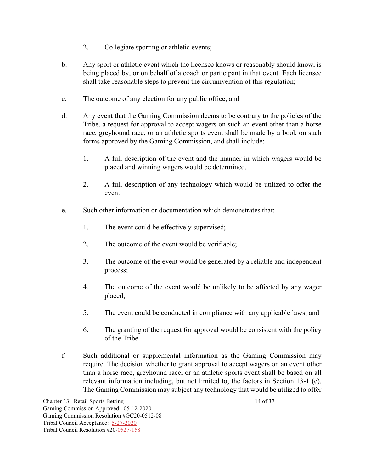- 2. Collegiate sporting or athletic events;
- b. Any sport or athletic event which the licensee knows or reasonably should know, is being placed by, or on behalf of a coach or participant in that event. Each licensee shall take reasonable steps to prevent the circumvention of this regulation;
- c. The outcome of any election for any public office; and
- d. Any event that the Gaming Commission deems to be contrary to the policies of the Tribe, a request for approval to accept wagers on such an event other than a horse race, greyhound race, or an athletic sports event shall be made by a book on such forms approved by the Gaming Commission, and shall include:
	- 1. A full description of the event and the manner in which wagers would be placed and winning wagers would be determined.
	- 2. A full description of any technology which would be utilized to offer the event.
- e. Such other information or documentation which demonstrates that:
	- 1. The event could be effectively supervised;
	- 2. The outcome of the event would be verifiable;
	- 3. The outcome of the event would be generated by a reliable and independent process;
	- 4. The outcome of the event would be unlikely to be affected by any wager placed;
	- 5. The event could be conducted in compliance with any applicable laws; and
	- 6. The granting of the request for approval would be consistent with the policy of the Tribe.
- f. Such additional or supplemental information as the Gaming Commission may require. The decision whether to grant approval to accept wagers on an event other than a horse race, greyhound race, or an athletic sports event shall be based on all relevant information including, but not limited to, the factors in Section 13-1 (e). The Gaming Commission may subject any technology that would be utilized to offer

Chapter 13. Retail Sports Betting 14 of 37 Gaming Commission Approved: 05-12-2020 Gaming Commission Resolution #GC20-0512-08 Tribal Council Acceptance: 5-27-2020 Tribal Council Resolution #20-0527-158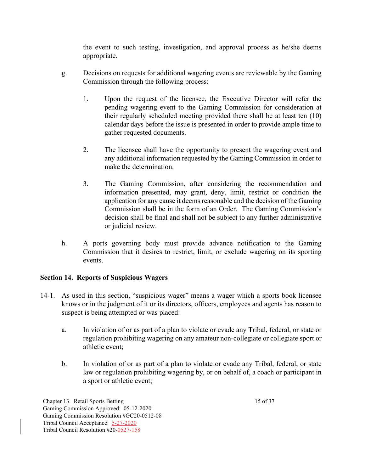the event to such testing, investigation, and approval process as he/she deems appropriate.

- g. Decisions on requests for additional wagering events are reviewable by the Gaming Commission through the following process:
	- 1. Upon the request of the licensee, the Executive Director will refer the pending wagering event to the Gaming Commission for consideration at their regularly scheduled meeting provided there shall be at least ten (10) calendar days before the issue is presented in order to provide ample time to gather requested documents.
	- 2. The licensee shall have the opportunity to present the wagering event and any additional information requested by the Gaming Commission in order to make the determination.
	- 3. The Gaming Commission, after considering the recommendation and information presented, may grant, deny, limit, restrict or condition the application for any cause it deems reasonable and the decision of the Gaming Commission shall be in the form of an Order. The Gaming Commission's decision shall be final and shall not be subject to any further administrative or judicial review.
- h. A ports governing body must provide advance notification to the Gaming Commission that it desires to restrict, limit, or exclude wagering on its sporting events.

# **Section 14. Reports of Suspicious Wagers**

- 14-1. As used in this section, "suspicious wager" means a wager which a sports book licensee knows or in the judgment of it or its directors, officers, employees and agents has reason to suspect is being attempted or was placed:
	- a. In violation of or as part of a plan to violate or evade any Tribal, federal, or state or regulation prohibiting wagering on any amateur non-collegiate or collegiate sport or athletic event;
	- b. In violation of or as part of a plan to violate or evade any Tribal, federal, or state law or regulation prohibiting wagering by, or on behalf of, a coach or participant in a sport or athletic event;

Chapter 13. Retail Sports Betting 15 of 37 Gaming Commission Approved: 05-12-2020 Gaming Commission Resolution #GC20-0512-08 Tribal Council Acceptance: 5-27-2020 Tribal Council Resolution #20-0527-158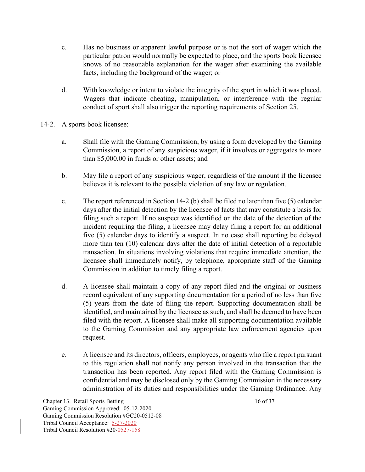- c. Has no business or apparent lawful purpose or is not the sort of wager which the particular patron would normally be expected to place, and the sports book licensee knows of no reasonable explanation for the wager after examining the available facts, including the background of the wager; or
- d. With knowledge or intent to violate the integrity of the sport in which it was placed. Wagers that indicate cheating, manipulation, or interference with the regular conduct of sport shall also trigger the reporting requirements of Section 25.
- 14-2. A sports book licensee:
	- a. Shall file with the Gaming Commission, by using a form developed by the Gaming Commission, a report of any suspicious wager, if it involves or aggregates to more than \$5,000.00 in funds or other assets; and
	- b. May file a report of any suspicious wager, regardless of the amount if the licensee believes it is relevant to the possible violation of any law or regulation.
	- c. The report referenced in Section 14-2 (b) shall be filed no later than five (5) calendar days after the initial detection by the licensee of facts that may constitute a basis for filing such a report. If no suspect was identified on the date of the detection of the incident requiring the filing, a licensee may delay filing a report for an additional five (5) calendar days to identify a suspect. In no case shall reporting be delayed more than ten (10) calendar days after the date of initial detection of a reportable transaction. In situations involving violations that require immediate attention, the licensee shall immediately notify, by telephone, appropriate staff of the Gaming Commission in addition to timely filing a report.
	- d. A licensee shall maintain a copy of any report filed and the original or business record equivalent of any supporting documentation for a period of no less than five (5) years from the date of filing the report. Supporting documentation shall be identified, and maintained by the licensee as such, and shall be deemed to have been filed with the report. A licensee shall make all supporting documentation available to the Gaming Commission and any appropriate law enforcement agencies upon request.
	- e. A licensee and its directors, officers, employees, or agents who file a report pursuant to this regulation shall not notify any person involved in the transaction that the transaction has been reported. Any report filed with the Gaming Commission is confidential and may be disclosed only by the Gaming Commission in the necessary administration of its duties and responsibilities under the Gaming Ordinance. Any

Chapter 13. Retail Sports Betting 16 of 37 Gaming Commission Approved: 05-12-2020 Gaming Commission Resolution #GC20-0512-08 Tribal Council Acceptance: 5-27-2020 Tribal Council Resolution #20-0527-158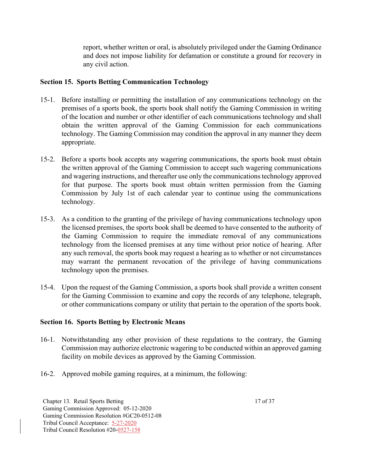report, whether written or oral, is absolutely privileged under the Gaming Ordinance and does not impose liability for defamation or constitute a ground for recovery in any civil action.

#### **Section 15. Sports Betting Communication Technology**

- 15-1. Before installing or permitting the installation of any communications technology on the premises of a sports book, the sports book shall notify the Gaming Commission in writing of the location and number or other identifier of each communications technology and shall obtain the written approval of the Gaming Commission for each communications technology. The Gaming Commission may condition the approval in any manner they deem appropriate.
- 15-2. Before a sports book accepts any wagering communications, the sports book must obtain the written approval of the Gaming Commission to accept such wagering communications and wagering instructions, and thereafter use only the communications technology approved for that purpose. The sports book must obtain written permission from the Gaming Commission by July 1st of each calendar year to continue using the communications technology.
- 15-3. As a condition to the granting of the privilege of having communications technology upon the licensed premises, the sports book shall be deemed to have consented to the authority of the Gaming Commission to require the immediate removal of any communications technology from the licensed premises at any time without prior notice of hearing. After any such removal, the sports book may request a hearing as to whether or not circumstances may warrant the permanent revocation of the privilege of having communications technology upon the premises.
- 15-4. Upon the request of the Gaming Commission, a sports book shall provide a written consent for the Gaming Commission to examine and copy the records of any telephone, telegraph, or other communications company or utility that pertain to the operation of the sports book.

### **Section 16. Sports Betting by Electronic Means**

- 16-1. Notwithstanding any other provision of these regulations to the contrary, the Gaming Commission may authorize electronic wagering to be conducted within an approved gaming facility on mobile devices as approved by the Gaming Commission.
- 16-2. Approved mobile gaming requires, at a minimum, the following:

Chapter 13. Retail Sports Betting 17 of 37 Gaming Commission Approved: 05-12-2020 Gaming Commission Resolution #GC20-0512-08 Tribal Council Acceptance: 5-27-2020 Tribal Council Resolution #20-0527-158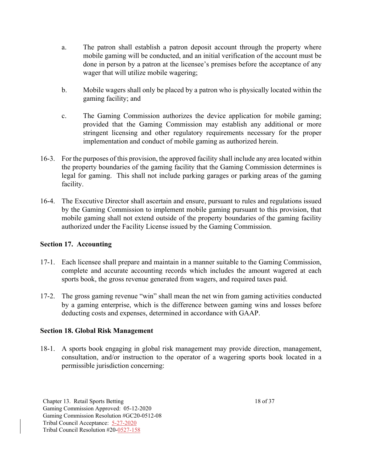- a. The patron shall establish a patron deposit account through the property where mobile gaming will be conducted, and an initial verification of the account must be done in person by a patron at the licensee's premises before the acceptance of any wager that will utilize mobile wagering;
- b. Mobile wagers shall only be placed by a patron who is physically located within the gaming facility; and
- c. The Gaming Commission authorizes the device application for mobile gaming; provided that the Gaming Commission may establish any additional or more stringent licensing and other regulatory requirements necessary for the proper implementation and conduct of mobile gaming as authorized herein.
- 16-3. For the purposes of this provision, the approved facility shall include any area located within the property boundaries of the gaming facility that the Gaming Commission determines is legal for gaming. This shall not include parking garages or parking areas of the gaming facility.
- 16-4. The Executive Director shall ascertain and ensure, pursuant to rules and regulations issued by the Gaming Commission to implement mobile gaming pursuant to this provision, that mobile gaming shall not extend outside of the property boundaries of the gaming facility authorized under the Facility License issued by the Gaming Commission.

### **Section 17. Accounting**

- 17-1. Each licensee shall prepare and maintain in a manner suitable to the Gaming Commission, complete and accurate accounting records which includes the amount wagered at each sports book, the gross revenue generated from wagers, and required taxes paid.
- 17-2. The gross gaming revenue "win" shall mean the net win from gaming activities conducted by a gaming enterprise, which is the difference between gaming wins and losses before deducting costs and expenses, determined in accordance with GAAP.

### **Section 18. Global Risk Management**

18-1. A sports book engaging in global risk management may provide direction, management, consultation, and/or instruction to the operator of a wagering sports book located in a permissible jurisdiction concerning:

Chapter 13. Retail Sports Betting 18 of 37 Gaming Commission Approved: 05-12-2020 Gaming Commission Resolution #GC20-0512-08 Tribal Council Acceptance: 5-27-2020 Tribal Council Resolution #20-0527-158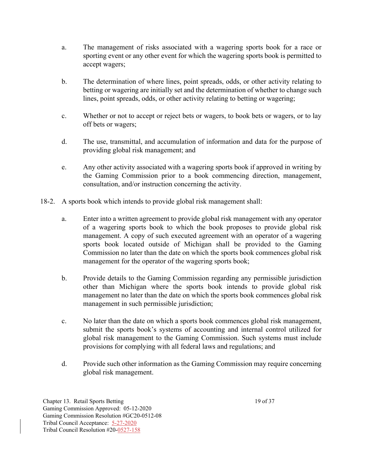- a. The management of risks associated with a wagering sports book for a race or sporting event or any other event for which the wagering sports book is permitted to accept wagers;
- b. The determination of where lines, point spreads, odds, or other activity relating to betting or wagering are initially set and the determination of whether to change such lines, point spreads, odds, or other activity relating to betting or wagering;
- c. Whether or not to accept or reject bets or wagers, to book bets or wagers, or to lay off bets or wagers;
- d. The use, transmittal, and accumulation of information and data for the purpose of providing global risk management; and
- e. Any other activity associated with a wagering sports book if approved in writing by the Gaming Commission prior to a book commencing direction, management, consultation, and/or instruction concerning the activity.
- 18-2. A sports book which intends to provide global risk management shall:
	- a. Enter into a written agreement to provide global risk management with any operator of a wagering sports book to which the book proposes to provide global risk management. A copy of such executed agreement with an operator of a wagering sports book located outside of Michigan shall be provided to the Gaming Commission no later than the date on which the sports book commences global risk management for the operator of the wagering sports book;
	- b. Provide details to the Gaming Commission regarding any permissible jurisdiction other than Michigan where the sports book intends to provide global risk management no later than the date on which the sports book commences global risk management in such permissible jurisdiction;
	- c. No later than the date on which a sports book commences global risk management, submit the sports book's systems of accounting and internal control utilized for global risk management to the Gaming Commission. Such systems must include provisions for complying with all federal laws and regulations; and
	- d. Provide such other information as the Gaming Commission may require concerning global risk management.

Chapter 13. Retail Sports Betting 19 of 37 Gaming Commission Approved: 05-12-2020 Gaming Commission Resolution #GC20-0512-08 Tribal Council Acceptance: 5-27-2020 Tribal Council Resolution #20-0527-158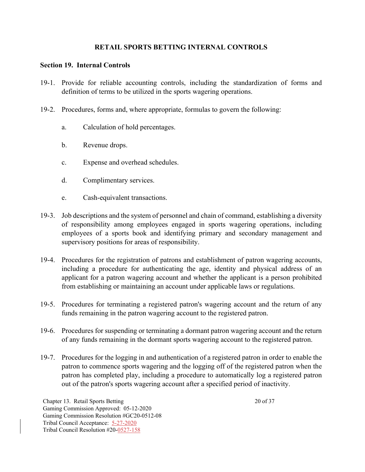#### **RETAIL SPORTS BETTING INTERNAL CONTROLS**

#### **Section 19. Internal Controls**

- 19-1. Provide for reliable accounting controls, including the standardization of forms and definition of terms to be utilized in the sports wagering operations.
- 19-2. Procedures, forms and, where appropriate, formulas to govern the following:
	- a. Calculation of hold percentages.
	- b. Revenue drops.
	- c. Expense and overhead schedules.
	- d. Complimentary services.
	- e. Cash-equivalent transactions.
- 19-3. Job descriptions and the system of personnel and chain of command, establishing a diversity of responsibility among employees engaged in sports wagering operations, including employees of a sports book and identifying primary and secondary management and supervisory positions for areas of responsibility.
- 19-4. Procedures for the registration of patrons and establishment of patron wagering accounts, including a procedure for authenticating the age, identity and physical address of an applicant for a patron wagering account and whether the applicant is a person prohibited from establishing or maintaining an account under applicable laws or regulations.
- 19-5. Procedures for terminating a registered patron's wagering account and the return of any funds remaining in the patron wagering account to the registered patron.
- 19-6. Procedures for suspending or terminating a dormant patron wagering account and the return of any funds remaining in the dormant sports wagering account to the registered patron.
- 19-7. Procedures for the logging in and authentication of a registered patron in order to enable the patron to commence sports wagering and the logging off of the registered patron when the patron has completed play, including a procedure to automatically log a registered patron out of the patron's sports wagering account after a specified period of inactivity.

Chapter 13. Retail Sports Betting 20 of 37 Gaming Commission Approved: 05-12-2020 Gaming Commission Resolution #GC20-0512-08 Tribal Council Acceptance: 5-27-2020 Tribal Council Resolution #20-0527-158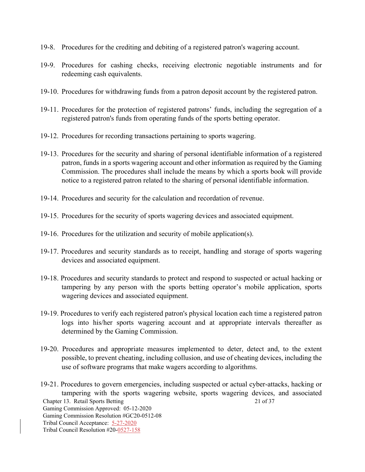- 19-8. Procedures for the crediting and debiting of a registered patron's wagering account.
- 19-9. Procedures for cashing checks, receiving electronic negotiable instruments and for redeeming cash equivalents.
- 19-10. Procedures for withdrawing funds from a patron deposit account by the registered patron.
- 19-11. Procedures for the protection of registered patrons' funds, including the segregation of a registered patron's funds from operating funds of the sports betting operator.
- 19-12. Procedures for recording transactions pertaining to sports wagering.
- 19-13. Procedures for the security and sharing of personal identifiable information of a registered patron, funds in a sports wagering account and other information as required by the Gaming Commission. The procedures shall include the means by which a sports book will provide notice to a registered patron related to the sharing of personal identifiable information.
- 19-14. Procedures and security for the calculation and recordation of revenue.
- 19-15. Procedures for the security of sports wagering devices and associated equipment.
- 19-16. Procedures for the utilization and security of mobile application(s).
- 19-17. Procedures and security standards as to receipt, handling and storage of sports wagering devices and associated equipment.
- 19-18. Procedures and security standards to protect and respond to suspected or actual hacking or tampering by any person with the sports betting operator's mobile application, sports wagering devices and associated equipment.
- 19-19. Procedures to verify each registered patron's physical location each time a registered patron logs into his/her sports wagering account and at appropriate intervals thereafter as determined by the Gaming Commission.
- 19-20. Procedures and appropriate measures implemented to deter, detect and, to the extent possible, to prevent cheating, including collusion, and use of cheating devices, including the use of software programs that make wagers according to algorithms.

Chapter 13. Retail Sports Betting 21 of 37 Gaming Commission Approved: 05-12-2020 Gaming Commission Resolution #GC20-0512-08 Tribal Council Acceptance: 5-27-2020 Tribal Council Resolution #20-0527-158 19-21. Procedures to govern emergencies, including suspected or actual cyber-attacks, hacking or tampering with the sports wagering website, sports wagering devices, and associated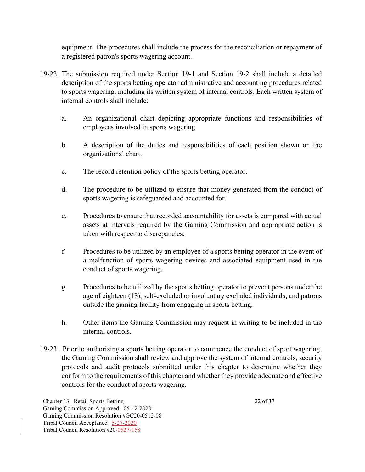equipment. The procedures shall include the process for the reconciliation or repayment of a registered patron's sports wagering account.

- 19-22. The submission required under Section 19-1 and Section 19-2 shall include a detailed description of the sports betting operator administrative and accounting procedures related to sports wagering, including its written system of internal controls. Each written system of internal controls shall include:
	- a. An organizational chart depicting appropriate functions and responsibilities of employees involved in sports wagering.
	- b. A description of the duties and responsibilities of each position shown on the organizational chart.
	- c. The record retention policy of the sports betting operator.
	- d. The procedure to be utilized to ensure that money generated from the conduct of sports wagering is safeguarded and accounted for.
	- e. Procedures to ensure that recorded accountability for assets is compared with actual assets at intervals required by the Gaming Commission and appropriate action is taken with respect to discrepancies.
	- f. Procedures to be utilized by an employee of a sports betting operator in the event of a malfunction of sports wagering devices and associated equipment used in the conduct of sports wagering.
	- g. Procedures to be utilized by the sports betting operator to prevent persons under the age of eighteen (18), self-excluded or involuntary excluded individuals, and patrons outside the gaming facility from engaging in sports betting.
	- h. Other items the Gaming Commission may request in writing to be included in the internal controls.
- 19-23. Prior to authorizing a sports betting operator to commence the conduct of sport wagering, the Gaming Commission shall review and approve the system of internal controls, security protocols and audit protocols submitted under this chapter to determine whether they conform to the requirements of this chapter and whether they provide adequate and effective controls for the conduct of sports wagering.

Chapter 13. Retail Sports Betting 22 of 37 Gaming Commission Approved: 05-12-2020 Gaming Commission Resolution #GC20-0512-08 Tribal Council Acceptance: 5-27-2020 Tribal Council Resolution #20-0527-158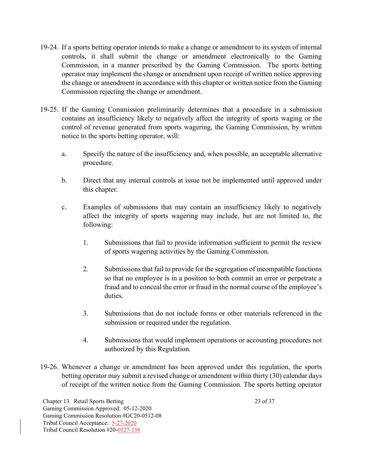- 19-24. If a sports betting operator intends to make a change or amendment to its system of internal controls, it shall submit the change or amendment electronically to the Gaming Commission, in a manner prescribed by the Gaming Commission. The sports betting operator may implement the change or amendment upon receipt of written notice approving the change or amendment in accordance with this chapter or written notice from the Gaming Commission rejecting the change or amendment.
- 19-25. If the Gaming Commission preliminarily determines that a procedure in a submission contains an insufficiency likely to negatively affect the integrity of sports waging or the control of revenue generated from sports wagering, the Gaming Commission, by written notice to the sports betting operator, will:
	- a. Specify the nature of the insufficiency and, when possible, an acceptable alternative procedure.
	- b. Direct that any internal controls at issue not be implemented until approved under this chapter.
	- c. Examples of submissions that may contain an insufficiency likely to negatively affect the integrity of sports wagering may include, but are not limited to, the following:
		- 1. Submissions that fail to provide information sufficient to permit the review of sports wagering activities by the Gaming Commission.
		- 2. Submissions that fail to provide for the segregation of incompatible functions so that no employee is in a position to both commit an error or perpetrate a fraud and to conceal the error or fraud in the normal course of the employee's duties.
		- 3. Submissions that do not include forms or other materials referenced in the submission or required under the regulation.
		- 4. Submissions that would implement operations or accounting procedures not authorized by this Regulation.
- 19-26. Whenever a change or amendment has been approved under this regulation, the sports betting operator may submit a revised change or amendment within thirty (30) calendar days of receipt of the written notice from the Gaming Commission. The sports betting operator

Chapter 13. Retail Sports Betting 23 of 37 Gaming Commission Approved: 05-12-2020 Gaming Commission Resolution #GC20-0512-08 Tribal Council Acceptance: 5-27-2020 Tribal Council Resolution #20-0527-158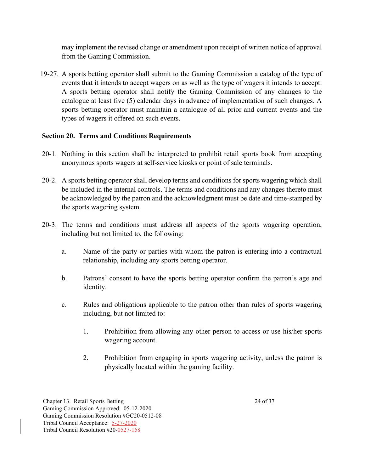may implement the revised change or amendment upon receipt of written notice of approval from the Gaming Commission.

19-27. A sports betting operator shall submit to the Gaming Commission a catalog of the type of events that it intends to accept wagers on as well as the type of wagers it intends to accept. A sports betting operator shall notify the Gaming Commission of any changes to the catalogue at least five (5) calendar days in advance of implementation of such changes. A sports betting operator must maintain a catalogue of all prior and current events and the types of wagers it offered on such events.

### **Section 20. Terms and Conditions Requirements**

- 20-1. Nothing in this section shall be interpreted to prohibit retail sports book from accepting anonymous sports wagers at self-service kiosks or point of sale terminals.
- 20-2. A sports betting operator shall develop terms and conditions for sports wagering which shall be included in the internal controls. The terms and conditions and any changes thereto must be acknowledged by the patron and the acknowledgment must be date and time-stamped by the sports wagering system.
- 20-3. The terms and conditions must address all aspects of the sports wagering operation, including but not limited to, the following:
	- a. Name of the party or parties with whom the patron is entering into a contractual relationship, including any sports betting operator.
	- b. Patrons' consent to have the sports betting operator confirm the patron's age and identity.
	- c. Rules and obligations applicable to the patron other than rules of sports wagering including, but not limited to:
		- 1. Prohibition from allowing any other person to access or use his/her sports wagering account.
		- 2. Prohibition from engaging in sports wagering activity, unless the patron is physically located within the gaming facility.

Chapter 13. Retail Sports Betting 24 of 37 Gaming Commission Approved: 05-12-2020 Gaming Commission Resolution #GC20-0512-08 Tribal Council Acceptance: 5-27-2020 Tribal Council Resolution #20-0527-158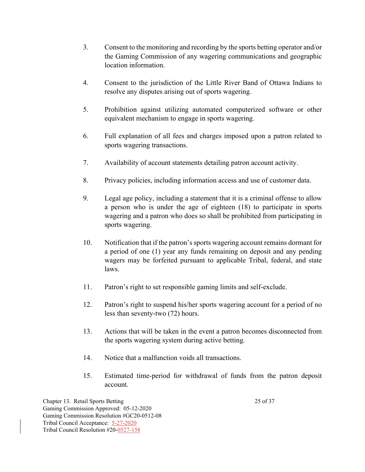- 3. Consent to the monitoring and recording by the sports betting operator and/or the Gaming Commission of any wagering communications and geographic location information.
- 4. Consent to the jurisdiction of the Little River Band of Ottawa Indians to resolve any disputes arising out of sports wagering.
- 5. Prohibition against utilizing automated computerized software or other equivalent mechanism to engage in sports wagering.
- 6. Full explanation of all fees and charges imposed upon a patron related to sports wagering transactions.
- 7. Availability of account statements detailing patron account activity.
- 8. Privacy policies, including information access and use of customer data.
- 9. Legal age policy, including a statement that it is a criminal offense to allow a person who is under the age of eighteen (18) to participate in sports wagering and a patron who does so shall be prohibited from participating in sports wagering.
- 10. Notification that if the patron's sports wagering account remains dormant for a period of one (1) year any funds remaining on deposit and any pending wagers may be forfeited pursuant to applicable Tribal, federal, and state laws.
- 11. Patron's right to set responsible gaming limits and self-exclude.
- 12. Patron's right to suspend his/her sports wagering account for a period of no less than seventy-two (72) hours.
- 13. Actions that will be taken in the event a patron becomes disconnected from the sports wagering system during active betting.
- 14. Notice that a malfunction voids all transactions.
- 15. Estimated time-period for withdrawal of funds from the patron deposit account.

Chapter 13. Retail Sports Betting 25 of 37 Gaming Commission Approved: 05-12-2020 Gaming Commission Resolution #GC20-0512-08 Tribal Council Acceptance: 5-27-2020 Tribal Council Resolution #20-0527-158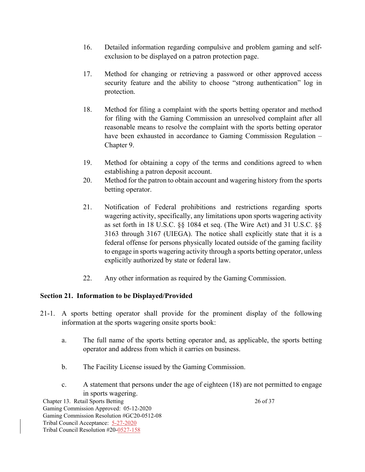- 16. Detailed information regarding compulsive and problem gaming and selfexclusion to be displayed on a patron protection page.
- 17. Method for changing or retrieving a password or other approved access security feature and the ability to choose "strong authentication" log in protection.
- 18. Method for filing a complaint with the sports betting operator and method for filing with the Gaming Commission an unresolved complaint after all reasonable means to resolve the complaint with the sports betting operator have been exhausted in accordance to Gaming Commission Regulation – Chapter 9.
- 19. Method for obtaining a copy of the terms and conditions agreed to when establishing a patron deposit account.
- 20. Method for the patron to obtain account and wagering history from the sports betting operator.
- 21. Notification of Federal prohibitions and restrictions regarding sports wagering activity, specifically, any limitations upon sports wagering activity as set forth in 18 U.S.C. §§ 1084 et seq. (The Wire Act) and 31 U.S.C. §§ 3163 through 3167 (UIEGA). The notice shall explicitly state that it is a federal offense for persons physically located outside of the gaming facility to engage in sports wagering activity through a sports betting operator, unless explicitly authorized by state or federal law.
- 22. Any other information as required by the Gaming Commission.

### **Section 21. Information to be Displayed/Provided**

- 21-1. A sports betting operator shall provide for the prominent display of the following information at the sports wagering onsite sports book:
	- a. The full name of the sports betting operator and, as applicable, the sports betting operator and address from which it carries on business.
	- b. The Facility License issued by the Gaming Commission.
	- c. A statement that persons under the age of eighteen (18) are not permitted to engage in sports wagering.

Chapter 13. Retail Sports Betting 26 of 37 Gaming Commission Approved: 05-12-2020 Gaming Commission Resolution #GC20-0512-08 Tribal Council Acceptance: 5-27-2020 Tribal Council Resolution #20-0527-158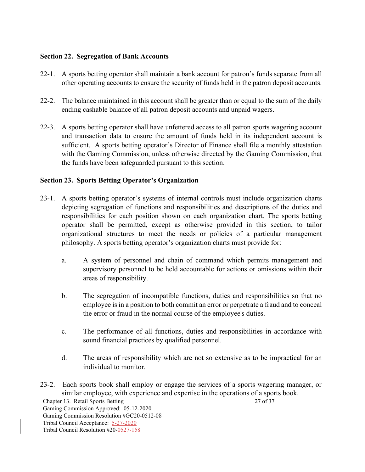### **Section 22. Segregation of Bank Accounts**

- 22-1. A sports betting operator shall maintain a bank account for patron's funds separate from all other operating accounts to ensure the security of funds held in the patron deposit accounts.
- 22-2. The balance maintained in this account shall be greater than or equal to the sum of the daily ending cashable balance of all patron deposit accounts and unpaid wagers.
- 22-3. A sports betting operator shall have unfettered access to all patron sports wagering account and transaction data to ensure the amount of funds held in its independent account is sufficient. A sports betting operator's Director of Finance shall file a monthly attestation with the Gaming Commission, unless otherwise directed by the Gaming Commission, that the funds have been safeguarded pursuant to this section.

# **Section 23. Sports Betting Operator's Organization**

- 23-1. A sports betting operator's systems of internal controls must include organization charts depicting segregation of functions and responsibilities and descriptions of the duties and responsibilities for each position shown on each organization chart. The sports betting operator shall be permitted, except as otherwise provided in this section, to tailor organizational structures to meet the needs or policies of a particular management philosophy. A sports betting operator's organization charts must provide for:
	- a. A system of personnel and chain of command which permits management and supervisory personnel to be held accountable for actions or omissions within their areas of responsibility.
	- b. The segregation of incompatible functions, duties and responsibilities so that no employee is in a position to both commit an error or perpetrate a fraud and to conceal the error or fraud in the normal course of the employee's duties.
	- c. The performance of all functions, duties and responsibilities in accordance with sound financial practices by qualified personnel.
	- d. The areas of responsibility which are not so extensive as to be impractical for an individual to monitor.
- Chapter 13. Retail Sports Betting 27 of 37 Gaming Commission Approved: 05-12-2020 Gaming Commission Resolution #GC20-0512-08 Tribal Council Acceptance: 5-27-2020 Tribal Council Resolution #20-0527-158 23-2. Each sports book shall employ or engage the services of a sports wagering manager, or similar employee, with experience and expertise in the operations of a sports book.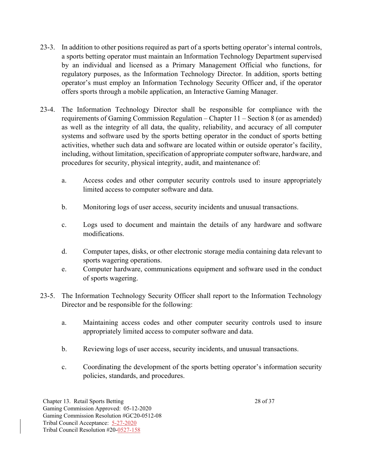- 23-3. In addition to other positions required as part of a sports betting operator's internal controls, a sports betting operator must maintain an Information Technology Department supervised by an individual and licensed as a Primary Management Official who functions, for regulatory purposes, as the Information Technology Director. In addition, sports betting operator's must employ an Information Technology Security Officer and, if the operator offers sports through a mobile application, an Interactive Gaming Manager.
- 23-4. The Information Technology Director shall be responsible for compliance with the requirements of Gaming Commission Regulation – Chapter 11 – Section 8 (or as amended) as well as the integrity of all data, the quality, reliability, and accuracy of all computer systems and software used by the sports betting operator in the conduct of sports betting activities, whether such data and software are located within or outside operator's facility, including, without limitation, specification of appropriate computer software, hardware, and procedures for security, physical integrity, audit, and maintenance of:
	- a. Access codes and other computer security controls used to insure appropriately limited access to computer software and data.
	- b. Monitoring logs of user access, security incidents and unusual transactions.
	- c. Logs used to document and maintain the details of any hardware and software modifications.
	- d. Computer tapes, disks, or other electronic storage media containing data relevant to sports wagering operations.
	- e. Computer hardware, communications equipment and software used in the conduct of sports wagering.
- 23-5. The Information Technology Security Officer shall report to the Information Technology Director and be responsible for the following:
	- a. Maintaining access codes and other computer security controls used to insure appropriately limited access to computer software and data.
	- b. Reviewing logs of user access, security incidents, and unusual transactions.
	- c. Coordinating the development of the sports betting operator's information security policies, standards, and procedures.

Chapter 13. Retail Sports Betting 28 of 37 Gaming Commission Approved: 05-12-2020 Gaming Commission Resolution #GC20-0512-08 Tribal Council Acceptance: 5-27-2020 Tribal Council Resolution #20-0527-158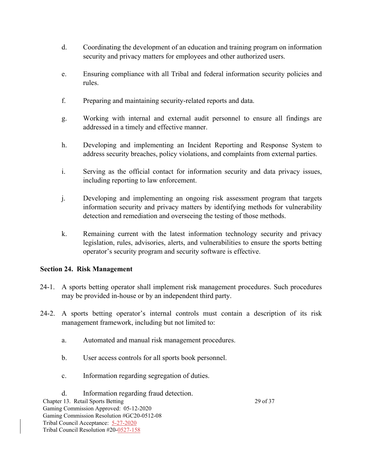- d. Coordinating the development of an education and training program on information security and privacy matters for employees and other authorized users.
- e. Ensuring compliance with all Tribal and federal information security policies and rules.
- f. Preparing and maintaining security-related reports and data.
- g. Working with internal and external audit personnel to ensure all findings are addressed in a timely and effective manner.
- h. Developing and implementing an Incident Reporting and Response System to address security breaches, policy violations, and complaints from external parties.
- i. Serving as the official contact for information security and data privacy issues, including reporting to law enforcement.
- j. Developing and implementing an ongoing risk assessment program that targets information security and privacy matters by identifying methods for vulnerability detection and remediation and overseeing the testing of those methods.
- k. Remaining current with the latest information technology security and privacy legislation, rules, advisories, alerts, and vulnerabilities to ensure the sports betting operator's security program and security software is effective.

### **Section 24. Risk Management**

- 24-1. A sports betting operator shall implement risk management procedures. Such procedures may be provided in-house or by an independent third party.
- 24-2. A sports betting operator's internal controls must contain a description of its risk management framework, including but not limited to:
	- a. Automated and manual risk management procedures.
	- b. User access controls for all sports book personnel.
	- c. Information regarding segregation of duties.
- Chapter 13. Retail Sports Betting 29 of 37 Gaming Commission Approved: 05-12-2020 Gaming Commission Resolution #GC20-0512-08 Tribal Council Acceptance: 5-27-2020 Tribal Council Resolution #20-0527-158 d. Information regarding fraud detection.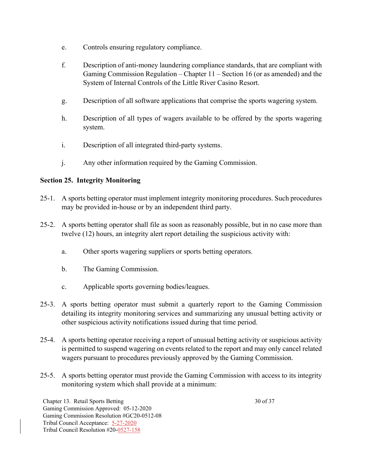- e. Controls ensuring regulatory compliance.
- f. Description of anti-money laundering compliance standards, that are compliant with Gaming Commission Regulation – Chapter 11 – Section 16 (or as amended) and the System of Internal Controls of the Little River Casino Resort.
- g. Description of all software applications that comprise the sports wagering system.
- h. Description of all types of wagers available to be offered by the sports wagering system.
- i. Description of all integrated third-party systems.
- j. Any other information required by the Gaming Commission.

# **Section 25. Integrity Monitoring**

- 25-1. A sports betting operator must implement integrity monitoring procedures. Such procedures may be provided in-house or by an independent third party.
- 25-2. A sports betting operator shall file as soon as reasonably possible, but in no case more than twelve (12) hours, an integrity alert report detailing the suspicious activity with:
	- a. Other sports wagering suppliers or sports betting operators.
	- b. The Gaming Commission.
	- c. Applicable sports governing bodies/leagues.
- 25-3. A sports betting operator must submit a quarterly report to the Gaming Commission detailing its integrity monitoring services and summarizing any unusual betting activity or other suspicious activity notifications issued during that time period.
- 25-4. A sports betting operator receiving a report of unusual betting activity or suspicious activity is permitted to suspend wagering on events related to the report and may only cancel related wagers pursuant to procedures previously approved by the Gaming Commission.
- 25-5. A sports betting operator must provide the Gaming Commission with access to its integrity monitoring system which shall provide at a minimum:

Chapter 13. Retail Sports Betting 30 of 37 Gaming Commission Approved: 05-12-2020 Gaming Commission Resolution #GC20-0512-08 Tribal Council Acceptance: 5-27-2020 Tribal Council Resolution #20-0527-158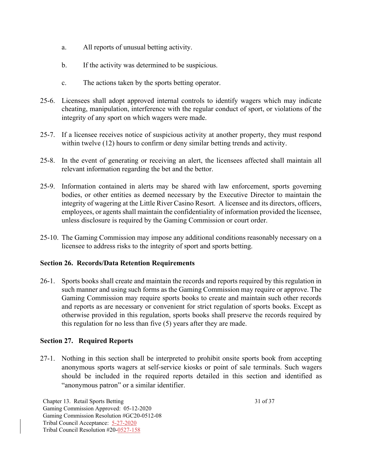- a. All reports of unusual betting activity.
- b. If the activity was determined to be suspicious.
- c. The actions taken by the sports betting operator.
- 25-6. Licensees shall adopt approved internal controls to identify wagers which may indicate cheating, manipulation, interference with the regular conduct of sport, or violations of the integrity of any sport on which wagers were made.
- 25-7. If a licensee receives notice of suspicious activity at another property, they must respond within twelve (12) hours to confirm or deny similar betting trends and activity.
- 25-8. In the event of generating or receiving an alert, the licensees affected shall maintain all relevant information regarding the bet and the bettor.
- 25-9. Information contained in alerts may be shared with law enforcement, sports governing bodies, or other entities as deemed necessary by the Executive Director to maintain the integrity of wagering at the Little River Casino Resort. A licensee and its directors, officers, employees, or agents shall maintain the confidentiality of information provided the licensee, unless disclosure is required by the Gaming Commission or court order.
- 25-10. The Gaming Commission may impose any additional conditions reasonably necessary on a licensee to address risks to the integrity of sport and sports betting.

#### **Section 26. Records/Data Retention Requirements**

26-1. Sports books shall create and maintain the records and reports required by this regulation in such manner and using such forms as the Gaming Commission may require or approve. The Gaming Commission may require sports books to create and maintain such other records and reports as are necessary or convenient for strict regulation of sports books. Except as otherwise provided in this regulation, sports books shall preserve the records required by this regulation for no less than five (5) years after they are made.

#### **Section 27. Required Reports**

27-1.Nothing in this section shall be interpreted to prohibit onsite sports book from accepting anonymous sports wagers at self-service kiosks or point of sale terminals. Such wagers should be included in the required reports detailed in this section and identified as "anonymous patron" or a similar identifier.

Chapter 13. Retail Sports Betting 31 of 37 Gaming Commission Approved: 05-12-2020 Gaming Commission Resolution #GC20-0512-08 Tribal Council Acceptance: 5-27-2020 Tribal Council Resolution #20-0527-158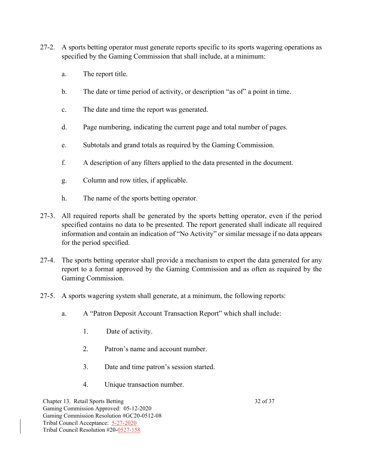- 27-2. A sports betting operator must generate reports specific to its sports wagering operations as specified by the Gaming Commission that shall include, at a minimum:
	- a. The report title.
	- b. The date or time period of activity, or description "as of" a point in time.
	- c. The date and time the report was generated.
	- d. Page numbering, indicating the current page and total number of pages.
	- e. Subtotals and grand totals as required by the Gaming Commission.
	- f. A description of any filters applied to the data presented in the document.
	- g. Column and row titles, if applicable.
	- h. The name of the sports betting operator.
- 27-3. All required reports shall be generated by the sports betting operator, even if the period specified contains no data to be presented. The report generated shall indicate all required information and contain an indication of "No Activity" or similar message if no data appears for the period specified.
- 27-4. The sports betting operator shall provide a mechanism to export the data generated for any report to a format approved by the Gaming Commission and as often as required by the Gaming Commission.
- 27-5. A sports wagering system shall generate, at a minimum, the following reports:
	- a. A "Patron Deposit Account Transaction Report" which shall include:
		- 1. Date of activity.
		- 2. Patron's name and account number.
		- 3. Date and time patron's session started.
		- 4. Unique transaction number.

Chapter 13. Retail Sports Betting 32 of 37 Gaming Commission Approved: 05-12-2020 Gaming Commission Resolution #GC20-0512-08 Tribal Council Acceptance: 5-27-2020 Tribal Council Resolution #20-0527-158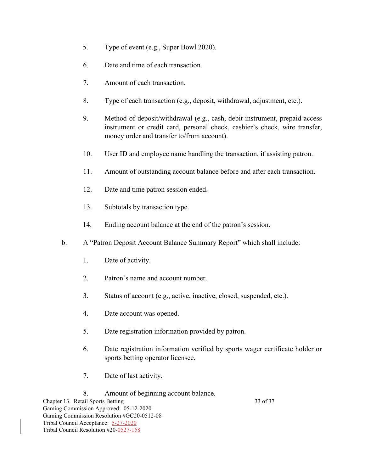- 5. Type of event (e.g., Super Bowl 2020).
- 6. Date and time of each transaction.
- 7. Amount of each transaction.
- 8. Type of each transaction (e.g., deposit, withdrawal, adjustment, etc.).
- 9. Method of deposit/withdrawal (e.g., cash, debit instrument, prepaid access instrument or credit card, personal check, cashier's check, wire transfer, money order and transfer to/from account).
- 10. User ID and employee name handling the transaction, if assisting patron.
- 11. Amount of outstanding account balance before and after each transaction.
- 12. Date and time patron session ended.
- 13. Subtotals by transaction type.
- 14. Ending account balance at the end of the patron's session.
- b. A "Patron Deposit Account Balance Summary Report" which shall include:
	- 1. Date of activity.
	- 2. Patron's name and account number.
	- 3. Status of account (e.g., active, inactive, closed, suspended, etc.).
	- 4. Date account was opened.
	- 5. Date registration information provided by patron.
	- 6. Date registration information verified by sports wager certificate holder or sports betting operator licensee.
	- 7. Date of last activity.
	- 8. Amount of beginning account balance.

Chapter 13. Retail Sports Betting 33 of 37 Gaming Commission Approved: 05-12-2020 Gaming Commission Resolution #GC20-0512-08 Tribal Council Acceptance: 5-27-2020 Tribal Council Resolution #20-0527-158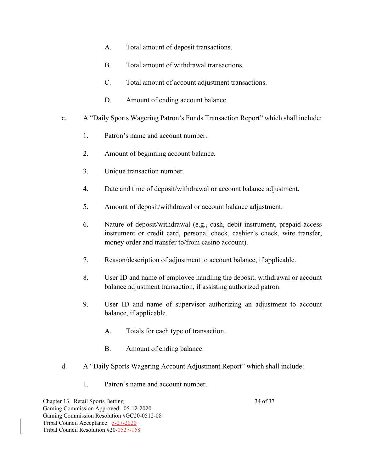- A. Total amount of deposit transactions.
- B. Total amount of withdrawal transactions.
- C. Total amount of account adjustment transactions.
- D. Amount of ending account balance.
- c. A "Daily Sports Wagering Patron's Funds Transaction Report" which shall include:
	- 1. Patron's name and account number.
	- 2. Amount of beginning account balance.
	- 3. Unique transaction number.
	- 4. Date and time of deposit/withdrawal or account balance adjustment.
	- 5. Amount of deposit/withdrawal or account balance adjustment.
	- 6. Nature of deposit/withdrawal (e.g., cash, debit instrument, prepaid access instrument or credit card, personal check, cashier's check, wire transfer, money order and transfer to/from casino account).
	- 7. Reason/description of adjustment to account balance, if applicable.
	- 8. User ID and name of employee handling the deposit, withdrawal or account balance adjustment transaction, if assisting authorized patron.
	- 9. User ID and name of supervisor authorizing an adjustment to account balance, if applicable.
		- A. Totals for each type of transaction.
		- B. Amount of ending balance.
- d. A "Daily Sports Wagering Account Adjustment Report" which shall include:
	- 1. Patron's name and account number.

Chapter 13. Retail Sports Betting 34 of 37 Gaming Commission Approved: 05-12-2020 Gaming Commission Resolution #GC20-0512-08 Tribal Council Acceptance: 5-27-2020 Tribal Council Resolution #20-0527-158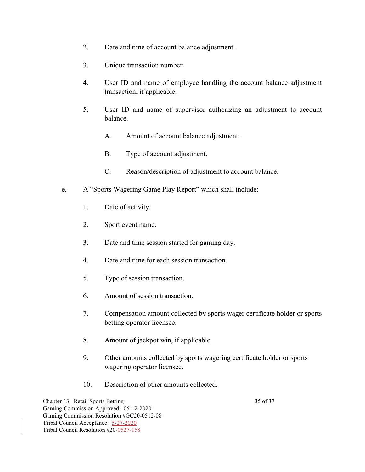- 2. Date and time of account balance adjustment.
- 3. Unique transaction number.
- 4. User ID and name of employee handling the account balance adjustment transaction, if applicable.
- 5. User ID and name of supervisor authorizing an adjustment to account balance.
	- A. Amount of account balance adjustment.
	- B. Type of account adjustment.
	- C. Reason/description of adjustment to account balance.
- e. A "Sports Wagering Game Play Report" which shall include:
	- 1. Date of activity.
	- 2. Sport event name.
	- 3. Date and time session started for gaming day.
	- 4. Date and time for each session transaction.
	- 5. Type of session transaction.
	- 6. Amount of session transaction.
	- 7. Compensation amount collected by sports wager certificate holder or sports betting operator licensee.
	- 8. Amount of jackpot win, if applicable.
	- 9. Other amounts collected by sports wagering certificate holder or sports wagering operator licensee.
	- 10. Description of other amounts collected.

Chapter 13. Retail Sports Betting 35 of 37 Gaming Commission Approved: 05-12-2020 Gaming Commission Resolution #GC20-0512-08 Tribal Council Acceptance: 5-27-2020 Tribal Council Resolution #20-0527-158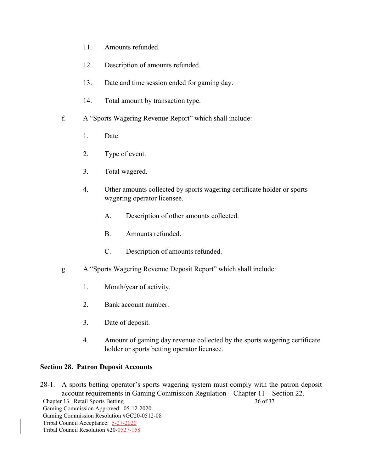- 11. Amounts refunded.
- 12. Description of amounts refunded.
- 13. Date and time session ended for gaming day.
- 14. Total amount by transaction type.
- f. A "Sports Wagering Revenue Report" which shall include:
	- 1. Date.
	- 2. Type of event.
	- 3. Total wagered.
	- 4. Other amounts collected by sports wagering certificate holder or sports wagering operator licensee.
		- A. Description of other amounts collected.
		- B. Amounts refunded.
		- C. Description of amounts refunded.
- g. A "Sports Wagering Revenue Deposit Report" which shall include:
	- 1. Month/year of activity.
	- 2. Bank account number.
	- 3. Date of deposit.
	- 4. Amount of gaming day revenue collected by the sports wagering certificate holder or sports betting operator licensee.

#### **Section 28. Patron Deposit Accounts**

Chapter 13. Retail Sports Betting 36 of 37 Gaming Commission Approved: 05-12-2020 Gaming Commission Resolution #GC20-0512-08 Tribal Council Acceptance: 5-27-2020 Tribal Council Resolution #20-0527-158 28-1.A sports betting operator's sports wagering system must comply with the patron deposit account requirements in Gaming Commission Regulation – Chapter 11 – Section 22.